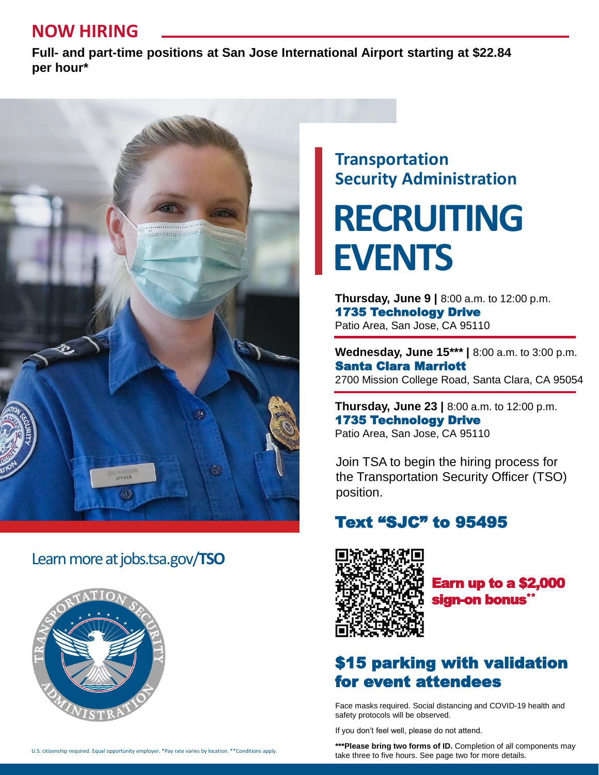# **NOW HIRING**

**Full- and part-time positions at San Jose International Airport starting at \$22.84 per hour\***



### Learn more at jobs.tsa.gov/**TSO**



## **Transportation Security Administration**

**RECRUITING EVENTS**

**Thursday, June 9 |** 8:00 a.m. to 12:00 p.m. 1735 Technology Drive Patio Area, San Jose, CA 95110

**Wednesday, June 15\*\*\* |** 8:00 a.m. to 3:00 p.m. Santa Clara Marriott 2700 Mission College Road, Santa Clara, CA 95054

**Thursday, June 23 |** 8:00 a.m. to 12:00 p.m. 1735 Technology Drive Patio Area, San Jose, CA 95110

Join TSA to begin the hiring process for the Transportation Security Officer (TSO) position.

### Text "SJC" to 95495



Earn up to a \$2,000 sian<del>-</del>on bonus $^{\ast}$ 

## \$15 parking with validation for event attendees

Face masks required. Social distancing and COVID-19 health and safety protocols will be observed.

If you don't feel well, please do not attend.

\*\*\*Please bring two forms of ID. Completion of all components may take three to five hours. See page two for more details.